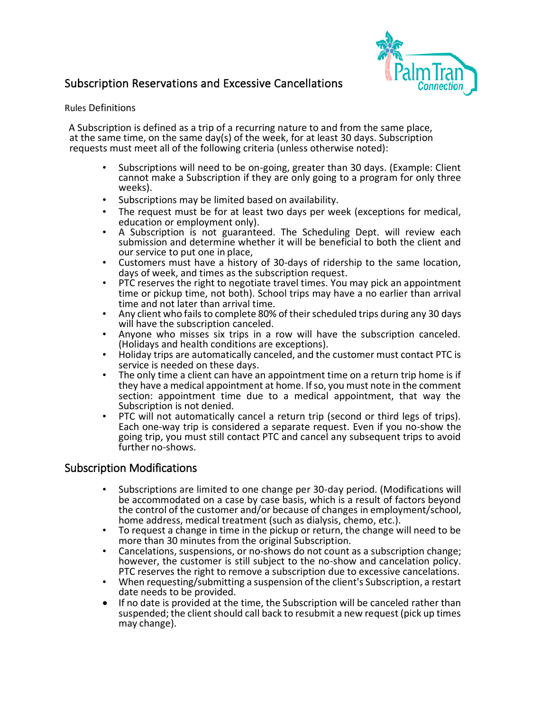## Subscription Reservations and Excessive Cancellations



## Rules Definitions

 A Subscription is defined as a trip of a recurring nature to and from the same place, at the same time, on the same day(s) of the week, for at least 30 days. Subscription requests must meet all of the following criteria (unless otherwise noted):

- • Subscriptions will need to be on-going, greater than 30 days. (Example: Client cannot make a Subscription if they are only going to a program for only three weeks).
- Subscriptions may be limited based on availability.
- • The request must be for at least two days per week (exceptions for medical, education or employment only).
- A Subscription is not guaranteed. The Scheduling Dept. will review each submission and determine whether it will be beneficial to both the client and our service to put one in place,
- Customers must have a history of 30-days of ridership to the same location, days of week, and times as the subscription request.
- days of week, and times as the subscription request. PTC reserves the right to negotiate travel times. You may pick an appointment time and not later than arrival time. time or pickup time, not both). School trips may have a no earlier than arrival
- Any client who fails to complete 80% of their scheduled trips during any 30 days will have the subscription canceled.
- will have the subscription canceled.<br>• Anyone who misses six trips in a row will have the subscription canceled.
- (Holidays and health conditions are exceptions). Holiday trips are automatically canceled, and the customer must contact PTC is
- section: appointment time due to a medical appointment, that way the service is needed on these days.<br>The only time a client can have an appointment time on a return trip home is if they have a medical appointment at home. If so, you must note in the comment Subscription is not denied.<br>PTC will not automatically cancel a return trip (second or third legs of trips).
- Each one-way trip is considered a separate request. Even if you no-show the going trip, you must still contact PTC and cancel any subsequent trips to avoid further no-shows.

## Subscription Modifications

- • Subscriptions are limited to one change per 30-day period. (Modifications will be accommodated on a case by case basis, which is a result of factors beyond the control of the customer and/or because of changes in employment/school, home address, medical treatment (such as dialysis, chemo, etc.).
- To request a change in time in the pickup or return, the change will need to be more than 30 minutes from the original Subscription.
- Cancelations, suspensions, or no-shows do not count as a subscription change; however, the customer is still subject to the no-show and cancelation policy.<br>PTC reserves the right to remove a subscription due to excessive cancelations.
- When requesting/submitting a suspension of the client's Subscription, a restart date needs to be provided.
- If no date is provided at the time, the Subscription will be canceled rather than suspended; the client should call back to resubmit a new request (pick up times may change).